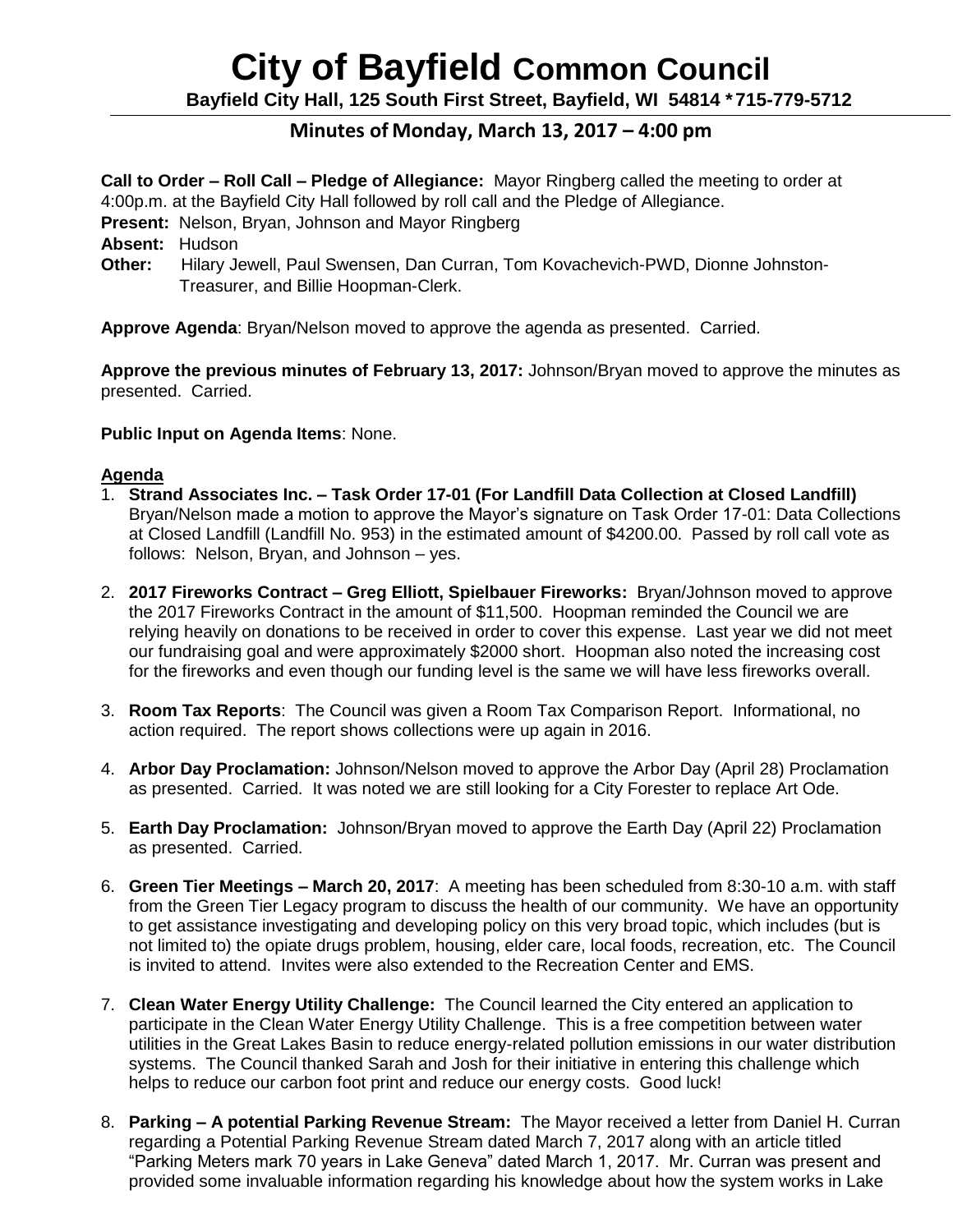# **City of Bayfield Common Council**

**Bayfield City Hall, 125 South First Street, Bayfield, WI 54814 \*715-779-5712**

# **Minutes of Monday, March 13, 2017 – 4:00 pm**

**Call to Order – Roll Call – Pledge of Allegiance:** Mayor Ringberg called the meeting to order at 4:00p.m. at the Bayfield City Hall followed by roll call and the Pledge of Allegiance.

**Present:** Nelson, Bryan, Johnson and Mayor Ringberg

**Absent:** Hudson

**Other:** Hilary Jewell, Paul Swensen, Dan Curran, Tom Kovachevich-PWD, Dionne Johnston- Treasurer, and Billie Hoopman-Clerk.

**Approve Agenda**: Bryan/Nelson moved to approve the agenda as presented. Carried.

**Approve the previous minutes of February 13, 2017:** Johnson/Bryan moved to approve the minutes as presented. Carried.

**Public Input on Agenda Items**: None.

# **Agenda**

- 1. **Strand Associates Inc. – Task Order 17-01 (For Landfill Data Collection at Closed Landfill)** Bryan/Nelson made a motion to approve the Mayor's signature on Task Order 17-01: Data Collections at Closed Landfill (Landfill No. 953) in the estimated amount of \$4200.00. Passed by roll call vote as follows: Nelson, Bryan, and Johnson – yes.
- 2. **2017 Fireworks Contract – Greg Elliott, Spielbauer Fireworks:** Bryan/Johnson moved to approve the 2017 Fireworks Contract in the amount of \$11,500. Hoopman reminded the Council we are relying heavily on donations to be received in order to cover this expense. Last year we did not meet our fundraising goal and were approximately \$2000 short. Hoopman also noted the increasing cost for the fireworks and even though our funding level is the same we will have less fireworks overall.
- 3. **Room Tax Reports**: The Council was given a Room Tax Comparison Report. Informational, no action required. The report shows collections were up again in 2016.
- 4. **Arbor Day Proclamation:** Johnson/Nelson moved to approve the Arbor Day (April 28) Proclamation as presented. Carried. It was noted we are still looking for a City Forester to replace Art Ode.
- 5. **Earth Day Proclamation:** Johnson/Bryan moved to approve the Earth Day (April 22) Proclamation as presented. Carried.
- 6. **Green Tier Meetings – March 20, 2017**: A meeting has been scheduled from 8:30-10 a.m. with staff from the Green Tier Legacy program to discuss the health of our community. We have an opportunity to get assistance investigating and developing policy on this very broad topic, which includes (but is not limited to) the opiate drugs problem, housing, elder care, local foods, recreation, etc. The Council is invited to attend. Invites were also extended to the Recreation Center and EMS.
- 7. **Clean Water Energy Utility Challenge:** The Council learned the City entered an application to participate in the Clean Water Energy Utility Challenge. This is a free competition between water utilities in the Great Lakes Basin to reduce energy-related pollution emissions in our water distribution systems. The Council thanked Sarah and Josh for their initiative in entering this challenge which helps to reduce our carbon foot print and reduce our energy costs. Good luck!
- 8. **Parking – A potential Parking Revenue Stream:** The Mayor received a letter from Daniel H. Curran regarding a Potential Parking Revenue Stream dated March 7, 2017 along with an article titled "Parking Meters mark 70 years in Lake Geneva" dated March 1, 2017. Mr. Curran was present and provided some invaluable information regarding his knowledge about how the system works in Lake